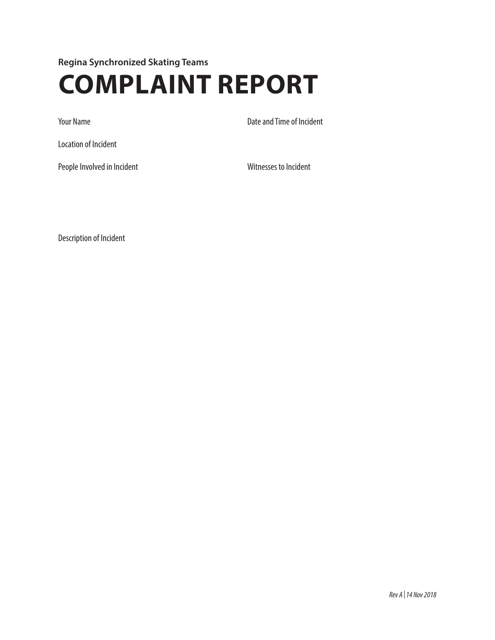**Regina Synchronized Skating Teams**

## **COMPLAINT REPORT**

Your Name **Date and Time of Incident** 

Location of Incident

People Involved in Incident Witnesses to Incident

Description of Incident